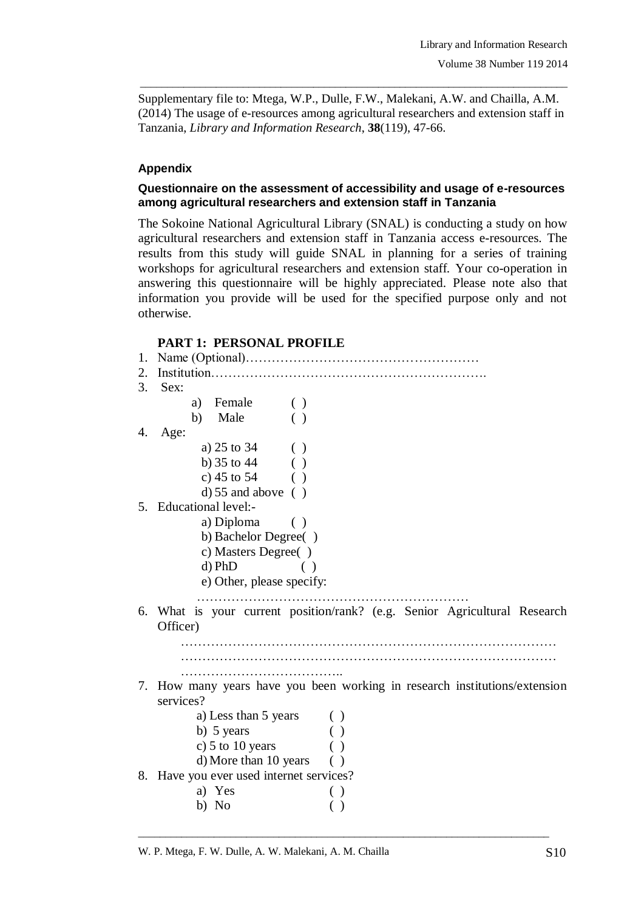Supplementary file to: Mtega, W.P., Dulle, F.W., Malekani, A.W. and Chailla, A.M. (2014) The usage of e-resources among agricultural researchers and extension staff in Tanzania, *Library and Information Research*, **38**(119), 47-66.

\_\_\_\_\_\_\_\_\_\_\_\_\_\_\_\_\_\_\_\_\_\_\_\_\_\_\_\_\_\_\_\_\_\_\_\_\_\_\_\_\_\_\_\_\_\_\_\_\_\_\_\_\_\_\_\_\_\_\_\_\_\_\_\_\_\_\_\_\_\_\_\_\_\_\_\_\_\_\_

## **Appendix**

## **Questionnaire on the assessment of accessibility and usage of e-resources among agricultural researchers and extension staff in Tanzania**

The Sokoine National Agricultural Library (SNAL) is conducting a study on how agricultural researchers and extension staff in Tanzania access e-resources. The results from this study will guide SNAL in planning for a series of training workshops for agricultural researchers and extension staff. Your co-operation in answering this questionnaire will be highly appreciated. Please note also that information you provide will be used for the specified purpose only and not otherwise.

## **PART 1: PERSONAL PROFILE**

| 1. |                                          |                                                                            |  |
|----|------------------------------------------|----------------------------------------------------------------------------|--|
| 2. |                                          |                                                                            |  |
| 3. | Sex:                                     |                                                                            |  |
|    | a) Female                                | $\left( \ \right)$                                                         |  |
|    | b) Male                                  |                                                                            |  |
| 4. | Age:                                     |                                                                            |  |
|    | a) $25 \text{ to } 34$                   |                                                                            |  |
|    | b) $35$ to $44$                          |                                                                            |  |
|    | c) $45 \text{ to } 54$                   |                                                                            |  |
|    | $d)$ 55 and above ()                     |                                                                            |  |
|    | 5. Educational level:-                   |                                                                            |  |
|    | a) Diploma $( )$                         |                                                                            |  |
|    | b) Bachelor Degree()                     |                                                                            |  |
|    | c) Masters Degree()                      |                                                                            |  |
|    | $d$ ) PhD                                |                                                                            |  |
|    | e) Other, please specify:                |                                                                            |  |
|    |                                          |                                                                            |  |
|    |                                          | 6. What is your current position/rank? (e.g. Senior Agricultural Research  |  |
|    | Officer)                                 |                                                                            |  |
|    |                                          |                                                                            |  |
|    |                                          |                                                                            |  |
|    |                                          |                                                                            |  |
|    |                                          |                                                                            |  |
|    | services?                                | 7. How many years have you been working in research institutions/extension |  |
|    |                                          |                                                                            |  |
|    | a) Less than 5 years                     |                                                                            |  |
|    | b) 5 years                               | ( )                                                                        |  |
|    | c) 5 to 10 years                         |                                                                            |  |
|    | $d)$ More than 10 years ()               |                                                                            |  |
|    | 8. Have you ever used internet services? |                                                                            |  |
|    | a) Yes                                   |                                                                            |  |
|    | b) No                                    |                                                                            |  |

\_\_\_\_\_\_\_\_\_\_\_\_\_\_\_\_\_\_\_\_\_\_\_\_\_\_\_\_\_\_\_\_\_\_\_\_\_\_\_\_\_\_\_\_\_\_\_\_\_\_\_\_\_\_\_\_\_\_\_\_\_\_\_\_\_\_\_\_\_\_\_\_\_\_\_\_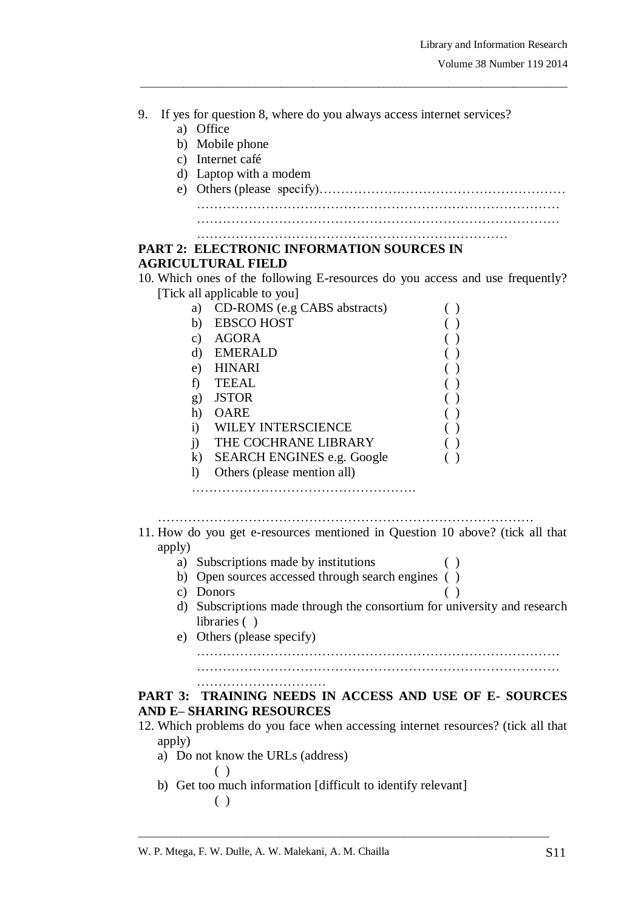9. If yes for question 8, where do you always access internet services? a) Office b) Mobile phone c) Internet café d) Laptop with a modem e) Others (please specify)………………………………………………… ………………………………………………………………………… ………………………………………………………………………… ……………………………………………………………… **PART 2: ELECTRONIC INFORMATION SOURCES IN AGRICULTURAL FIELD** 10. Which ones of the following E-resources do you access and use frequently? [Tick all applicable to you] a) CD-ROMS (e.g CABS abstracts) ( ) b) EBSCO HOST ( ) c) AGORA ( ) d) EMERALD ( ) e) HINARI ( ) f) TEEAL ( ) g) JSTOR ( ) h) OARE ( ) i) WILEY INTERSCIENCE ( ) j) THE COCHRANE LIBRARY ( ) k) SEARCH ENGINES e.g. Google ( ) l) Others (please mention all) ……………………………………………. …………………………………………………………………………… 11. How do you get e-resources mentioned in Question 10 above? (tick all that apply) a) Subscriptions made by institutions ( ) b) Open sources accessed through search engines ( ) c) Donors ( ) d) Subscriptions made through the consortium for university and research libraries ( ) e) Others (please specify) ………………………………………………………………………… ………………………………………………………………………… **PART 3: TRAINING NEEDS IN ACCESS AND USE OF E- SOURCES AND E– SHARING RESOURCES**  12. Which problems do you face when accessing internet resources? (tick all that apply) a) Do not know the URLs (address) ( ) b) Get too much information [difficult to identify relevant] ( )

\_\_\_\_\_\_\_\_\_\_\_\_\_\_\_\_\_\_\_\_\_\_\_\_\_\_\_\_\_\_\_\_\_\_\_\_\_\_\_\_\_\_\_\_\_\_\_\_\_\_\_\_\_\_\_\_\_\_\_\_\_\_\_\_\_\_\_\_\_\_\_\_\_\_\_\_

\_\_\_\_\_\_\_\_\_\_\_\_\_\_\_\_\_\_\_\_\_\_\_\_\_\_\_\_\_\_\_\_\_\_\_\_\_\_\_\_\_\_\_\_\_\_\_\_\_\_\_\_\_\_\_\_\_\_\_\_\_\_\_\_\_\_\_\_\_\_\_\_\_\_\_\_\_\_\_